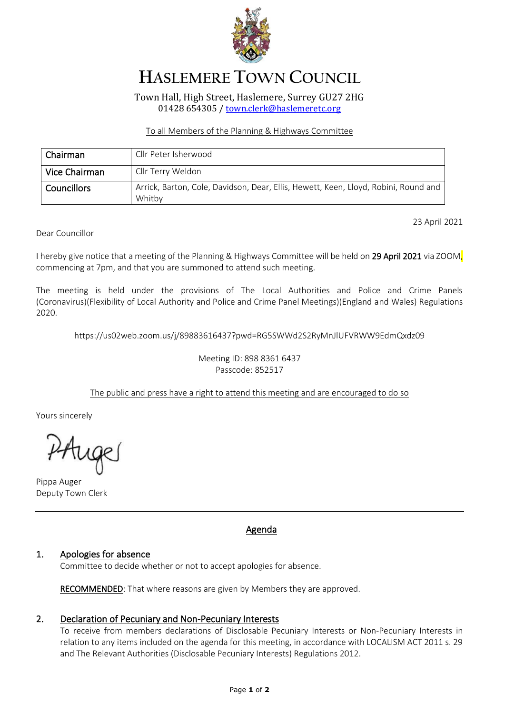

# **HASLEMERE TOWN COUNCIL**

Town Hall, High Street, Haslemere, Surrey GU27 2HG 01428 654305 [/ town.clerk@haslemeretc.org](mailto:town.clerk@haslemeretc.org)

### To all Members of the Planning & Highways Committee

| Chairman      | Cllr Peter Isherwood                                                                          |
|---------------|-----------------------------------------------------------------------------------------------|
| Vice Chairman | Cllr Terry Weldon                                                                             |
| Councillors   | Arrick, Barton, Cole, Davidson, Dear, Ellis, Hewett, Keen, Lloyd, Robini, Round and<br>Whitby |

23 April 2021

Dear Councillor

I hereby give notice that a meeting of the Planning & Highways Committee will be held on 29 April 2021 via ZOOM, commencing at 7pm, and that you are summoned to attend such meeting.

The meeting is held under the provisions of The Local Authorities and Police and Crime Panels (Coronavirus)(Flexibility of Local Authority and Police and Crime Panel Meetings)(England and Wales) Regulations 2020.

[https://us02web.zoom.us/j/89883616437?pwd=RG5SWWd2S2RyMnJlUFVRWW9EdmQxdz09](https://www.google.com/url?q=https://us02web.zoom.us/j/89883616437?pwd%3DRG5SWWd2S2RyMnJlUFVRWW9EdmQxdz09&sa=D&source=calendar&ust=1619526405933000&usg=AOvVaw21d_2fS19529eb2B0CRPS9)

Meeting ID: 898 8361 6437 Passcode: 852517

## The public and press have a right to attend this meeting and are encouraged to do so

Yours sincerely

PAuge

Pippa Auger Deputy Town Clerk

### Agenda

### 1. Apologies for absence

Committee to decide whether or not to accept apologies for absence.

RECOMMENDED: That where reasons are given by Members they are approved.

### 2. Declaration of Pecuniary and Non-Pecuniary Interests

To receive from members declarations of Disclosable Pecuniary Interests or Non-Pecuniary Interests in relation to any items included on the agenda for this meeting, in accordance with LOCALISM ACT 2011 s. 29 and The Relevant Authorities (Disclosable Pecuniary Interests) Regulations 2012.